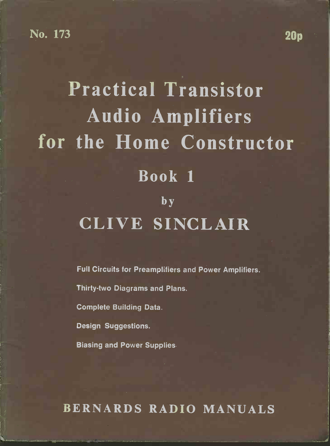### No. 173 20p

## Practical Transistor Audio Amplifiers for the Home Constructor Book 1 **b**y CLIVE SINCLAIR

Full Circuits for Preamplifiers and Power Amplifiers.

Thirty-two Diagrams and Plans.

Complete Building Data.

Design Suggestions.

Biasing and Power Supplies.

BERNARDS RADIO MANUALS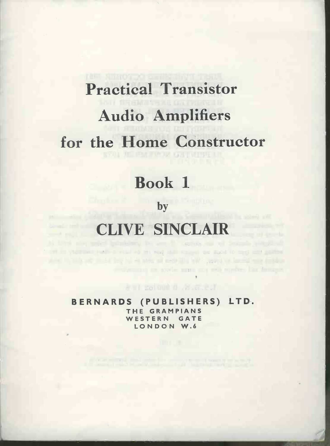# Practical Transistor Audio Amplifiers for the Home Constructor

## Book 1

## by the contract of the contract of the contract of the contract of the contract of the contract of the contract of the contract of the contract of the contract of the contract of the contract of the contract of the contrac

## CLIVE SINCLAIR

THE VILLED FORCE PART OF HIM CALL TIME TO SAY AND TO BUILDING and the first state of the state of the state of the state of the state of the state of the state of the state

and column them.c.t

**THE THE ENERGY OF THE TIME IS A PROPERTY OF A SET OF THE PARTY OF THE PARTY OF THE PARTY OF THE PARTY OF THE** 

BERNARDS (PUBLISHERS) LTD. WESTERN GATE LONDON W.6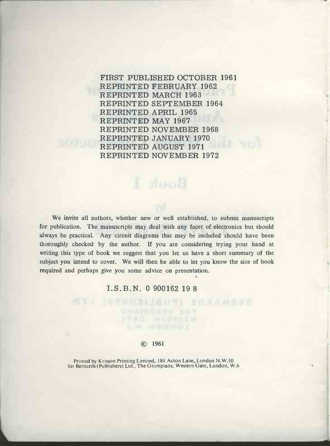FIRST PUBLISHED OCTOBER 1961 REPRINTED FEBRUARY 1962 REPRINTED MARCH 1963 REPRINTED SEPTEMBER 1964 REPRINTED APRIL 1965 REPRINTED MAY 1967 REPRINTED NOVEMBER 1968 REPRINTED JANUARY 1970 REPRINTED AUGUST 1971 REPRINTED NOVEMBER 1972

We invite all authors, whether new or well established, to submit manuscripts for publication. The manuscripts may deal with any facet of electronics but should always be practical. Any circuit diagrams that may be included should have been thoroughly checked by the author. If you are considering trying your hand at writing this type of book we suggest that you let us have a short summary of the subject you intend to cover. We will then be able to let you know the size of book required and perhaps give you some advice on presentation.

#### I.S.B.N. 0 900162 19 8

#### © 1961

Printed by Krisson Printing Limited, 184 Acton Lane, London N.W.10 for Bernards (Publishers) Ltd., The Grampians, Western Gate, London, W.6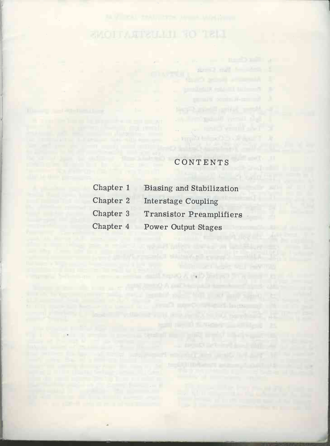$\alpha$ 

A ten de la carte pour le mais per le

The company of the product is an excellent

## CONTENTS

 $\blacksquare$  ) implies to the contract of  $\blacksquare$ 

support for a strength part are the strength

| Chapter 1 | Biasing and Stabilization       |  |
|-----------|---------------------------------|--|
| Chapter 2 | <b>Interstage Coupling</b>      |  |
| Chapter 3 | <b>Transistor Preamplifiers</b> |  |
| Chapter 4 | <b>Power Output Stages</b>      |  |
|           |                                 |  |

The search in the company of the search of the search of the search of the search of the search of the search of the search of the search of the search of the search of the search of the search of the search of the search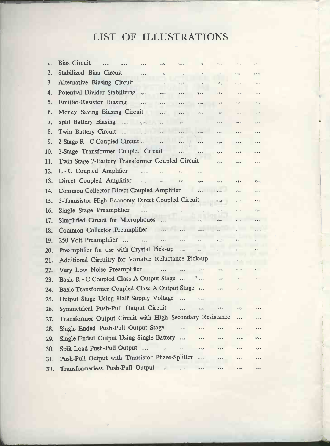## LIST OF ILLUSTRATIONS

| 1.             | <b>Bias Circuit</b><br>.                                  | $\bullet$ , $\bullet$                                                                                                                                                                                                                                                                                                                                           | $\bullet$ , $\circ \tilde{\beta}$ $\bullet$                  | Bike, will                           | $\bullet\ \pm\forall\, \vec{\bullet}$  | $\hat{\mathbf{e}} \in \hat{\mathcal{C}}_{\mathbb{R}^n}^{\times}$ | $\bullet$ $\tilde{\circ}$ , $\tilde{\circ}$ | $\cdots$                      |
|----------------|-----------------------------------------------------------|-----------------------------------------------------------------------------------------------------------------------------------------------------------------------------------------------------------------------------------------------------------------------------------------------------------------------------------------------------------------|--------------------------------------------------------------|--------------------------------------|----------------------------------------|------------------------------------------------------------------|---------------------------------------------|-------------------------------|
| 2.             | Stabilized Bias Circuit                                   | $\ddot{\phantom{0}}$                                                                                                                                                                                                                                                                                                                                            | $\mathbf{e}_\alpha \hat{\mathbf{e}}^{\alpha}_{\alpha \beta}$ | $\ddot{\phantom{1}}$                 | $\cdots$                               | $e e^{\alpha}$                                                   | $\bullet$ $\rightarrow$ $\pm$               | $p$ wile                      |
| 3.             | <b>Alternative Biasing Circuit</b>                        | .                                                                                                                                                                                                                                                                                                                                                               | .                                                            | $-25$                                | $\cdots$                               | $\epsilon\gtrsim\epsilon_{\rm c}$                                | Ne orde                                     | ه م.                          |
| 4.             | <b>Potential Divider Stabilizing</b>                      | inga Le                                                                                                                                                                                                                                                                                                                                                         | eserar                                                       | $\cdots$                             | 강 4 6                                  | $-7, -$                                                          | $\ddot{\phantom{1}}$                        |                               |
| 5.             | <b>Emitter-Resistor Biasing</b>                           | .                                                                                                                                                                                                                                                                                                                                                               | .                                                            | $\ddot{\phantom{a}}$                 | o rapo                                 | $\bullet$ $\bullet$ $\bar{\bullet}$                              | do la                                       | $\overline{\cdot}$            |
| 6.             | Money Saving Biasing Circuit                              |                                                                                                                                                                                                                                                                                                                                                                 | $\cdots$                                                     | et el si                             | $\cdots$                               | $\bullet$ $\bullet$ yr                                           | 1.11                                        | $v \leqslant n - \frac{1}{2}$ |
| 7.             | Split Battery Biasing  .                                  |                                                                                                                                                                                                                                                                                                                                                                 | $\sim$ $\sim$ $\sim$                                         | oğulla.                              | .                                      |                                                                  | $\alpha\pi(\alpha-\alpha)$                  | $\theta_{\rm eff}(\theta)$ in |
| 8.             | Twin Battery Circuit                                      | $\epsilon_{\rm 100}$                                                                                                                                                                                                                                                                                                                                            | .                                                            | .                                    | a con                                  | $\delta\neq 0$                                                   | $ -$                                        | $\cdots$                      |
| 9.             | 2-Stage R - C Coupled Circuit                             |                                                                                                                                                                                                                                                                                                                                                                 | $\ddotsc$                                                    | .                                    | .                                      | $\alpha$ , $\beta$ , $\alpha$                                    | $\cdots$                                    | $\cdots$                      |
| 10.            | 2-Stage Transformer Coupled Circuit                       |                                                                                                                                                                                                                                                                                                                                                                 |                                                              |                                      | .                                      | $\ddotsc$                                                        | $\cdots$                                    | $\sim$ $\sim$ $\sim$          |
| 11.            | Twin Stage 2-Battery Transformer Coupled Circuit          |                                                                                                                                                                                                                                                                                                                                                                 |                                                              |                                      |                                        | $\sigma^2_{\rm 121,2}$                                           | $\alpha$ on                                 | .                             |
| 12.            | L-C Coupled Amplifier                                     | $\frac{1}{2} \sum_{i=1}^{n} \frac{1}{2} \sum_{j=1}^{n} \frac{1}{2} \sum_{j=1}^{n} \frac{1}{2} \sum_{j=1}^{n} \frac{1}{2} \sum_{j=1}^{n} \frac{1}{2} \sum_{j=1}^{n} \frac{1}{2} \sum_{j=1}^{n} \frac{1}{2} \sum_{j=1}^{n} \frac{1}{2} \sum_{j=1}^{n} \frac{1}{2} \sum_{j=1}^{n} \frac{1}{2} \sum_{j=1}^{n} \frac{1}{2} \sum_{j=1}^{n} \frac{1}{2} \sum_{j=1}^{n$ |                                                              | $\alpha_{\rm eff}$ .                 | $\sigma_{\rm DM}$ is                   | Sing                                                             | $-111$                                      | .                             |
| 13.            | Direct Coupled Amplifier                                  | $\epsilon$                                                                                                                                                                                                                                                                                                                                                      | $a\bar{a}$                                                   | $\tilde{u}$ , $\tilde{u}^{\prime}$ , | 0.05                                   | $\sim 2.5$                                                       | $+ \tilde{z} +$                             | $\mathcal{C}(\mathbf{g})$ .   |
| 14.            | Common Collector Direct Coupled Amplifier                 |                                                                                                                                                                                                                                                                                                                                                                 |                                                              |                                      | .                                      | $ i\delta$                                                       | Grens                                       | 112.4                         |
| 15.            | 3-Transistor High Economy Direct Coupled Circuit          |                                                                                                                                                                                                                                                                                                                                                                 |                                                              |                                      |                                        | $\rightarrow$ 3                                                  | $\cdots$                                    | $\bullet$ + $\star$           |
| 16.            | Single Stage Preamplifier                                 | $\ddotsc$                                                                                                                                                                                                                                                                                                                                                       | $\ddotsc$                                                    | $\cdots$                             | $\bullet$ and                          | $\frac{n}{2}$ jú a                                               | $\cdots$                                    | $C$ are                       |
| 17.            | Simplified Circuit for Microphones                        |                                                                                                                                                                                                                                                                                                                                                                 | .                                                            | $\frac{1}{2}$                        | $\bullet$ now                          | $\ddot{\phantom{\phi}}$                                          | $\cdots$                                    | $\sigma^2 + \cdots$           |
| 18.            | Common Collector Preamplifier                             |                                                                                                                                                                                                                                                                                                                                                                 |                                                              | $\cdots$                             | $\ddot{\phantom{a}}$                   | $\mathbf{a}$                                                     | $\alpha$ - $\alpha$ Ta                      | $\cdots$                      |
| 19.            | 250 Volt Preamplifier                                     | $\ddot{\bullet}$                                                                                                                                                                                                                                                                                                                                                |                                                              | .                                    | .                                      | $\bullet$ of $\circ$                                             | $\cdots$                                    | .                             |
| 20.            | Preamplifier for use with Crystal Pick-up                 |                                                                                                                                                                                                                                                                                                                                                                 |                                                              | $\frac{1}{2}$                        | $\cdots$                               | .                                                                | .                                           | .                             |
| 21.            | Additional Circuitry for Variable Reluctance Pick-up      |                                                                                                                                                                                                                                                                                                                                                                 |                                                              |                                      |                                        | $\cdot \cdot \cdot$                                              | $\tilde{\eta}_i$ o - 6                      | $\bullet$ $\bullet$ $\bullet$ |
| 22.            | Very Low Noise Preamplifier                               |                                                                                                                                                                                                                                                                                                                                                                 | $\cdots$                                                     | $\frac{1}{2}$ .                      | $\ddotsc$                              | $\epsilon\approx\bar{\epsilon}/\bar{\epsilon}_0$                 | $\bullet$ out                               |                               |
| 23.            | Basic R - C Coupled Class A Output Stage                  |                                                                                                                                                                                                                                                                                                                                                                 |                                                              |                                      | $\epsilon \approx 0$                   | $\phi^*_f(\hat{\alpha}^{\vee}_i,\hat{\alpha}^{\vee}_j)$          | $e^-0.56$                                   | $e^{i\theta}$ and $e$         |
| 24.            | Basic Transformer Coupled Class A Output Stage            |                                                                                                                                                                                                                                                                                                                                                                 |                                                              |                                      | $\tilde{a}$                            | $5 - 10$                                                         | $\vec{a}^{\prime} \in \mathcal{V}_0$        | .                             |
| 25.            | Output Stage Using Half Supply Voltage                    |                                                                                                                                                                                                                                                                                                                                                                 |                                                              |                                      | inte <sub>r</sub> e                    | .                                                                | $\ddot{\bullet}$                            | s                             |
| 26.            | Symmetrical Push-Pull Output Circuit                      |                                                                                                                                                                                                                                                                                                                                                                 |                                                              | $\cdots$                             | mxeze                                  | .7.                                                              | $\alpha_1^2 \sqrt{m} \alpha_0$              | $\ddotsc$                     |
| 27.            | Transformer Output Circuit with High Secondary Resistance |                                                                                                                                                                                                                                                                                                                                                                 |                                                              |                                      |                                        |                                                                  | $-7 -$                                      | $\sim$                        |
| 28.            | Single Ended Push-Pull Output Stage                       |                                                                                                                                                                                                                                                                                                                                                                 |                                                              | $\sigma$ of a                        | $-0.00$                                | $\ddot{\phantom{a}}$                                             | $\mathbf{a} \in \mathbf{e}_1$               | .                             |
| 29.            | Single Ended Output Using Single Battery                  |                                                                                                                                                                                                                                                                                                                                                                 |                                                              | $\mathbf{e}$ and                     | $\cdots$                               | $1.14 - 1.0$                                                     | $\alpha=1/2$                                | ture .                        |
| 30.            | Split Load Push-Pull Output                               |                                                                                                                                                                                                                                                                                                                                                                 | $\ddot{\phantom{a}}$                                         | $\cdots$                             | $\mathbf{a}$ $\mathbf{a}_n \mathbf{a}$ | $e^{-\alpha}$                                                    | $+8.5$                                      | $\epsilon_{\mu}$ .            |
| 31.            | Push-Pull Output with Transistor Phase-Splitter           |                                                                                                                                                                                                                                                                                                                                                                 |                                                              |                                      | .<br>Galeria                           | $\bullet + \circ$                                                | $\cdots$                                    | $\epsilon$ .                  |
| 3 <sup>t</sup> | Transformerless Push-Pull Output                          |                                                                                                                                                                                                                                                                                                                                                                 |                                                              | $\tilde{\mu}$ and                    | $\overline{a}$                         | $e^{\lambda}$                                                    | $\ddot{\phantom{a}}$                        | 0.1008                        |
|                |                                                           |                                                                                                                                                                                                                                                                                                                                                                 |                                                              |                                      |                                        |                                                                  |                                             |                               |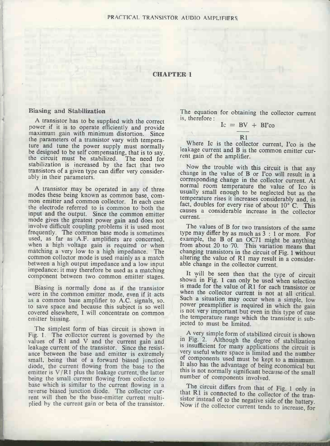# CHAPTER 1

#### Biasing and Stabilization

A transistor has to be supplied with the correct power if it is to operate efficiently and provide maximum gain with minimum distortion. Since the parameters of a transistor vary with temperature and tune the power supply must normally be designed to be self compensating, that is to say, the circuit must be stabilized. The need for stabilization is increased by the fact that two transistors of a given type can differ very consider-<br>ably in their parameters.<br>Corresponding change in the caller of B or I'co will result in a

the electrode referred to is common to both the input and the output. Since the common emitter mode gives the greatest power gain and does not involve difficult coupling problems it is used most<br>frequently. The common base mode is sometimes frequently. The common based, as far as A.F. amplifiers are concerned, example, the B of an OC71 might be anything when a high voltage gain is required or when matching a very low to a high impedance. The changing transist common collector mode is used mainly as a match between a high output impedance and a low input impedance; it may therefore be used as a matching<br>component hetween two common emitter stages and the will be seen then that the type of circuit component between two common emitter stages.

Biasing is normally done as if the transistor were in the common emitter mode, even if it acts as a common base amplifier to A.C. signals, so, to save space and because this subject is so well covered elsewhere, I will concentrate on common emitter biasing.

The simplest form of bias circuit is shown in Fig. 1. The collector current is governed by the values of R1 and V and the current gain and  $\frac{1}{12}$  and Fig. 2. Although the degree of stabilization leakage current of the transistor. Since the resistance between the base and emitter is extremely very useful where space is limited and the number small, being that of a forward biased junction<br>diode the current flowing from the base to the It also has the advantage of being economical but diode, the current flowing from the base to the emitter is  $V/R1$  plus the leakage current, the latter this is not normally significant because being the small current flowing from collector to number of components involved. base which is similar to the current flowing in a The circuit differs from that of Fig. 1 only in reverse biased junction diode. The collector current will then be the base-emitter current multiplied by the current gain or beta of the transistor.

The equation for obtaining the collector current is, therefore :

 $Ic = BV + BI'co$ 

R<sub>1</sub> Where Ic is the collector current, I'co is the leakage current and B is the common emitter current gain of the amplifier.

A transistor may be operated in any of three<br>modes these being known as common base, com-<br>mon emitter and common collector. In each case<br>for doubles for double for the set increases considerably and, in Now the trouble with this circuit is that any corresponding change in the collector current. At usually small enough to be neglected but as the temperature rises it increases considerably and, in fact, doubles for every rise of about 10° C. This causes a considerable increase in the collector current.

> The values of B for two transistors of the same type may differ by as much as 3 : 1 or more. For example, the B of an OC71 might be anything from about 20 to 70. This variation means that altering the value of R1 may result in a considerable change in the collector current.

> shown in Fig. 1 can only be used when selection is made for the value of R1 for each transistor or when the collector current is not at all critical. Such a situation may occur when a simple, low power preamplifier is required in which the gain is not very important but even in this type of case the temperature range which the transistor is sub-

> in Fig. 2. Although the degree of stabilization is insufficient for many applications the circuit is of components used must be kept to a minimum. this is not normally significant because of the small

> that  $R1$  is connected to the collector of the transistor instead of to the negative side of the battery. Now if the collector current tends to increase, for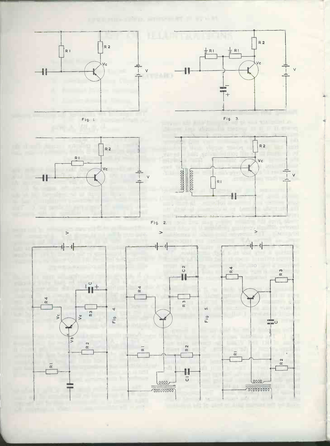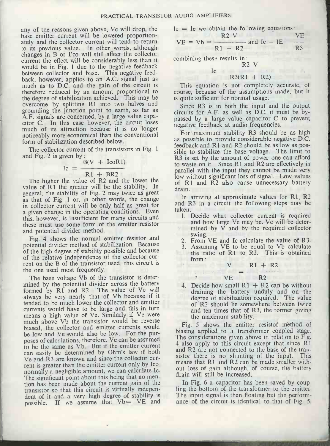any of the reasons given above, Vc will drop, the base emitter current will be lowered proportion-<br>ately and the collector current will tend to return to its previous value. In other words, although changes in B or I'co will still affect the collector current the effect will be considerably less than it would be in Fig. 1 due to the negative feedback between collector and base. This negative feed-<br>back, however, applies to an A.C. signal just as much as to D.C. and the gain of the circuit is This equation is not completely accurate, of therefore reduced by an amount proportional to<br>the degree of stabilization achieved. This may be overcome by splitting R1 into two halves and Since R3 is in both the input and the output grounding the junction point to earth, as far as circuits for A.F. as well as D.C. it must be by-A.F. signals are concerned, by a large value capacitor C. In this case however, the circuit loses much of its attraction because it is no longer noticeably more economical than the conventional form of stabilization described below.

The collector current of the transistors in Fig. 1 and Fig. 2 is given by :<br>B<br> $Ic = -$ 

$$
c = \frac{B(V + IcoR1)}{I}
$$

$$
R1 + BR2
$$

as that of Fig. 1 or, in other words, the change in collector current will be only half as great for a given change in the operating conditions. Even this, however, is insufficient for many circuits and these must use some form of the emitter resistor and potential divider method.

Fig. 4 shows the normal emitter resistor and  $\frac{\text{swing}}{\text{2}}$ potential divider method of stabilization. Because of the relative independence of the collector current on the B of the transistor used, this circuit is the one used most frequently.

The base voltage Vb of the transistor is determined by the potential divider across the battery formed by R1 and R2. The value of Ve will always be very nearly that of Vb because if it tended to be much lower the collector and emitter currents would have to be large and the turner much above to be large and the transistor would be reverse this in turn much above Vb the transistor would be reverse in the maximum stability.<br>Tig. 5 shows the emitter resist biased, the collector and emitter currents would be low and Ve would also he low. For the purposes of calculations, therefore, Ve can be assumed<br>poses of calculations, therefore, Ve can be assumed the assumed as apply to this circuit except that since R1 to be the same as Vb. But if the emitter current can easily be determined by Ohm's law if both Ve and R3 are known and since the collector cur-<br>rent is greater than the emitter current only by Ico. normally a negligible amount, we can calculate Ic. The significant point about this being that no mention has been made about the current gain of the In Fig. 6 a capacitor has been saved by coup-<br>transistor so that this circuit is virtually indepen-<br>ling the bottom of the transformer to the emitter. dent of it and a very high degree of stability is The input signal is then floating but the performpossible. If we assume that Vb= VE and

Ic = Ie we obtain the following equations :<br> $R2V$ 

$$
VE = Vb = \frac{R2 V}{R1 + R2} \text{ and } Ic = IE = \frac{VE}{R3}
$$

combining these results in:<br>R2 V

 $I_c =$   $R3(R1 + R2)$ 

course, because of the assumptions made, but it is quite sufficient for normal usage.

passed by a large value capacitor C to prevent negative feedback at audio frequencies.

The higher the value of R2 and the lower the value of R2 and the lower the value of R1 the greater will be the stability. In general, the stability of Fig. 2 may twice as great For maximum stability R3 should be as high as possible to provide considerable negative D.C. feedback and RI and R2 should be as low as possible to stabilize the base voltage. The limit to R3 is set by the amount of power one can afford to waste on it. Since RI and R2 are effectively in parallel with the input they cannot be made very of R1 and R2 also cause unnecessary battery drain.

In arriving at approximate values for R1, R2 and R3 in a circuit the following steps may be taken.

- 1. Decide what collector current is required<br>and how large Ve may be. Ve will be determined by  $V$  and by the required collector
- 2. From VE and Ic calculate the value of R3.
- 3. Assuming VE to be equal to Vb calculate the ratio of R1 to R2. This is obtained from :

$$
\frac{V}{VE} = \frac{R1 + R2}{R2}
$$

 $\label{eq:3.1} \begin{array}{ll} \mathcal{L}_{\mathcal{A}} & \mathcal{L}_{\mathcal{A}} & \mathcal{L}_{\mathcal{A}} \\ \mathcal{L}_{\mathcal{A}} & \mathcal{L}_{\mathcal{A}} & \mathcal{L}_{\mathcal{A}} \end{array} \end{array}$ 

4. Decide how small  $R1 + R2$  can be without draining the battery unduly and on the degree of stabilization required. The value of R2 should lie somewhere between twice and ten times that of R3, the former giving the maximum stability.

biasing applied to a transformer coupled stage. and R2 are not connected to the base of the transistor there is no shunting of the input. This means that R1 and R2 can be made smaller without loss of gain although, of course, the battery drain will still be increased.

In Fig. 6 a capacitor has been saved by coupance of the circuit is identical to that of Fig. 5.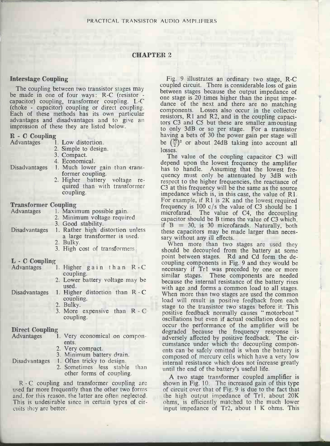#### CHAPTER 2

#### Interstage Coupling

The coupling between two transistor stages may<br>be made in one of four ways: R-C (resistor - capacitor) coupling, transformer coupling. I-C dance (choke - capacitor) coupling or direct coupling. Compose these methods has its own particular compose composed advantages and to give an tors C impression of these they are listed below.

| to only 3d                                               |
|----------------------------------------------------------|
| having a be                                              |
| be $(\frac{30}{2})^2$<br>1. Low distortion.<br><b>Or</b> |
| 2. Simple to design.<br>losses.                          |
| 3. Compact.<br>The valu                                  |
| 4. Economical.                                           |
| depend up<br>1. Much lower gain than trans-              |
| has to har<br>former coupling.                           |
| quency mu<br>2. Higher battery voltage re-               |
| respect to t<br>quired than with transformer             |
| $C3$ at this fi<br>coupling.                             |
| impedance                                                |
| For exampl                                               |
| <b>Transformer Coupling</b><br>frequency i               |
| 1. Maximum possible gain.<br>microfarad.                 |
| 2. Minimum voltage required.<br>capacitor sl             |
| 3. Good stability.<br>if $B = 3$                         |
| 1. Rather high distortion unless<br>these capad          |
| a large transformer is used.<br>sary withou              |
| 2. Bulky.<br>When n                                      |
| 3. High cost of transformers.<br>should be               |
| point betw                                               |
| coupling co                                              |
| 1. Higher gain than R.C<br>necessary i                   |
| coupling.<br>similar sta                                 |
| 2. Lower battery voltage may be<br>because the           |
| used.<br>with age a                                      |
| 1. Higher distortion than R - C<br>When more             |
| coupling.<br>load will                                   |
| 2. Bulky.<br>stage to th                                 |
| 3. More expensive than R - C<br>positive fe              |
| coupling.<br>oscillations                                |
| occur the                                                |
| degraded                                                 |
| 1. Very economical on compon-<br>adverselv s             |
|                                                          |

| Direct Coupling |  |
|-----------------|--|
| Advantages      |  |

| tages |       |                           |  | 1. Very economical on compon- |
|-------|-------|---------------------------|--|-------------------------------|
|       | ents. |                           |  |                               |
|       |       | 2. Very compact.          |  |                               |
|       |       | 3. Minimum battery drain. |  |                               |

Disadvantages 1. Often tricky to design. 2. Sometimes less stable than other forms of coupling.

used far more frequently than the other two forms<br>and, for this reason, the latter are often neglected. This is undesirable since in certain types of circuits they are better.

Fig. 9 illustrates an ordinary two stage, R-C coupled circuit. There is considerable loss of gain between stages because the output impedance of one stage is 20 times higher than the input impedance of the next and there are no matching components. Losses also occur in the collector resistors, RI and R2, and in the coupling capacitors C3 and C5 but these are smaller amounting to only 3dB or so per stage. For a transistor having a beta of 30 the power gain per stage will be  $(\frac{30}{2})^2$  or about 24dB taking into account all

and the first part of the

losses.<br>The value of the coupling capacitor C3 will depend upon the lowest frequency the amplifier has to handle. Assuming that the lowest frequency must only be attenuated by 3dB with respect to the higher frequencies, the reactance of C3 at this frequency will be the same as the source impedance which is, in this case, the value of  $R1$ . For example, if R1 is  $2K$  and the lowest required frequency is 100  $c/s$  the value of C3 should be 1 microfarad. The value of C4, the decoupling capacitor should be B times the value of C3 which, if  $B = 30$ , is 30 microfarads. Naturally, both these capacitors may be made larger than neces-<br>sary without any ill effects.

 $L$  - C Coupling<br>Advantages 1. Higher gain than R - C necessary if Tr1 was preceded by one or more - C When more than two stages are used the common When more than two stages are used they should be decoupled from the battery at some point between stages. Rd and Cd form the decoupling components in Fig. 9 and they would be similar stages. These components are needed because the internal resistance of the battery rises with age and forms a common load to all stages. load will result in positive feedback from each stage to the transistor two stages before it. This positive feedback normally causes " motorboat " oscillations but even if actual oscillation does not occur the performance of the amplifier will be degraded because the frequency response is<br>adversely affected by positive feedback. The circumstance under which the decoupling components can be safely omitted is when the battery is composed of mercury cells which have a very low internal resistance which does not increase greatly until the end of the battery's useful life.

R - C coupling and transformer coupling are shown in Fig. 10. The increased gain of this type ed far more frequently than the other two forms of circuit over that of Fig. 9 is due to the fact that A two stage transformer coupled amplifier is shown in Fig. 10. The increased gain of this type the high output impedance of Tr1, about 20K ohms, is efficiently matched to the much lower input impedance of Tr2, about 1 K ohms. This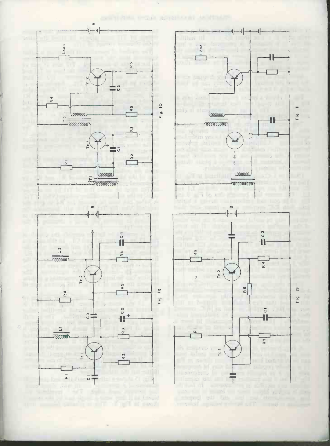



 $-1$ 

ᆌ

 $\frac{m}{2}$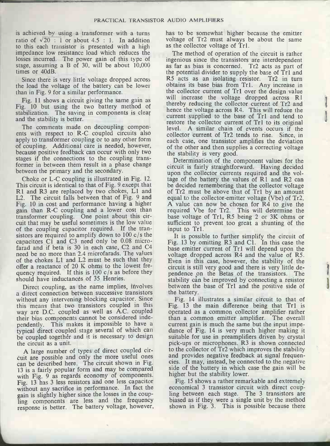is achieved by using a transformer with a turns has to be somewhat higher because the emitter ratio of  $\sqrt{20}$ : 1 or about 4.5 : 1. In addition to this each transistor is presented with a high impedance low resistance load which reduces the losses incurred. The power gain of this type of stage, assuming a B of 30, will be about 10,000 as far as bias is concerned. Tr2 acts as part of times or 40dB.

Since there is very little voltage dropped across R5 acts as an isolating resistor. the load the voltage of the battery can be lower than in Fig. 9 for a similar performance.

Fig. 11 shows a circuit giving the same gain as Fig. 10 but using the two battery method of thereby reducing the collector current or 112 and<br>thence the voltage across R4. This will reduce the stabilization. The saving in components is clear and the stability is better.

The comments made on decoupling components with respect to R-C coupled circuits also apply to transformer coupling or to any other form of coupling. Additional care is needed, however, because positive feedback can occur with only two stages if the connections to the coupling transformer in between them result in a phase change between the primary and the secondary.

Choke or L-C coupling is illustrated in Fig. 12.<br>This circuit is identical to that of Fig. 9 except that R1 and R3 are replaced by two chokes, L1 and of Tr2 must be above that of Tr1 by an amount L2. The circuit falls between that of Fig. 9 and equal to the collector-emitter voltage (Vbe) of Tr2. L2. The circuit falls between that of Fig. 9 and Fig. 10 in cost and performance having a higher gain than R-C coupling and a lower cost than required Vbe for Tr2. This will determine the transformer coupling. One point about this cir-<br>base voltage of Tr1, R5 being 2 or 3K ohms or transformer coupling. One point about this circuit that may be useful sometimes is the low value of the coupling capacitor required. If the tran-<br>sistors are required to amplify down to  $100 \text{ c/s}$  the capacitors C1 and C3 need only be 0.08 micro-<br>
Fig. 13 by omitting R3 and C1. In this case the case fies capacitors capacitors of T1 and C1. In this case the<br>
passe emitter current of T1 will depend upon the need be no more than 2.4 microfarads. The values voltage dropped across R4 and the value of R5. of the chokes L1 and L2 must be such that they offer a reactance of 20 K ohms to the lowest freoffer a reactance of 20 K ohms to the lowest tre-<br>quency required. If this is  $100 \text{ c/s}$  as before they and the Retas of the transistors. The should have inductances of 35 Henries.

Direct coupling, as the name implies, involves a direct connection between successive transistors without any intervening blocking capacitor. Since this means that two transistors coupled in this way are D.C. coupled as well as A.C. coupled their bias components cannot be considered independently. This makes it impossible to have a current gain is much the same but the input impetypical direct coupled stage several of which can be coupled together and it is necessary to design<br>the circuit as a unit.<br>pick-ups or microphones. R3 is shown connected the circuit as a unit.

A large number of types of direct coupled cir- cuit are possible and only the more useful ones can be described here. The circuit shown in Fig. 13 is a fairly popular form and may be compared 13 is a fairly popular form and may be components. The may be components with Fig. 9 as regards economy of components. Fig. 15 shows a rather remain Fig. 13 has 3 less resistors and one less capacitor Fig. 15 shows a rathe without any sacrifice in performance. In fact the gain is slightly higher since the losses in the coupling components are less and the frequency response is better. The battery voltage, however,

voltage of Tr2 must always be about the same as the collector voltage of Tr1.

The method of operation of the circuit is rather ingenious since the transistors are interdependent the potential divider to supply the base of Tr1 and  $R5$  acts as an isolating resistor. Tr2 in turn obtains its base bias from Tr1. Any increase in the collector current of Tr1 over the design value will increase the voltage dropped across R1 thereby reducing the collector current of Tr2 and current supplied to the base of Tr1 and tend to restore the collector current of Tr1 to its original level. A similar chain of events occurs if the collector current of Tr2 tends to rise. Since, in each case, one transistor amplifies the deviation of the other and then supplies a correcting voltage the stability is very good.

Determination of the component values for the circuit is fairly straightforward. Having decided upon the collector currents required and the voltage of the battery the values of R1 and R2 can be decided remembering that the collector voltage A value can now be chosen for  $R4$  to give the required Vbe for Tr2. This will determine the sufficient to prevent too great a shunting of the input to Tr1.

It is possible to further simplify the circuit of Even in this case, however, the stability of the pendence on the Betas of the transistors. The stability can be improved by connecting a resistor between the base of Trl and the positive side of the battery.

Fig. 14 illustrates a similar circuit to that of Fig. 13 the main difference being that Trl is operated as a common collector amplifier rather than a common emitter amplifier. The overall dance of Fig. 14 is very much higher making it suitable for use in preamplifiers driven by crystal to the collector of Tr2 which improves the stability and provides negative feedback at signal frequencies. It may, instead, be connected to the negative side of the battery in which case the gain will be

Fig. 15 shows a rather remarkable and extremely economical 3 transistor circuit with direct coupling between each stage. The 3 transistors are biased as if they were a single unit by the method shown in Fig. 3. This is possible because there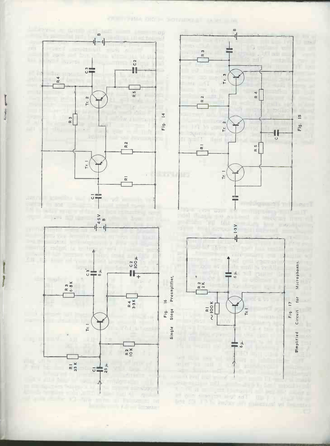$\mathcal{O}(1) = \mathcal{H}^{1/2} \cdot \mathcal{O}(1) = \mathcal{O}(1) \cdot \mathcal{O}(1) \cdot \mathcal{O}(1) = \mathcal{H}^{1/2} \cdot \mathcal{O}(1)$ 

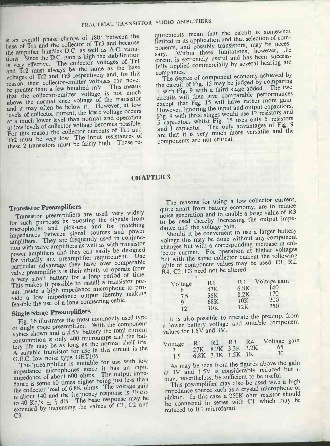is an overall phase change of 180° between the base of Tr1 and the collector of Tr3 and because the amplifier handles D.C. as well as A.C. variations. Since the D.C. gain is high the stabilization is very effective. The collector voltages of Tr1 circuit is examed Tr2 must always be the same as the base fully applied and Tr2 must always be the companies. and Tr2 must always be the same as the base voltages of Tr2 and Tr3 respectively and, for this reason, their collector -emitter voltages can never be greater than a few hundred mV. This means that the collector -emitter voltage is not much above the normal knee voltage of the transistor and it may often be below it. However, at low levels of collector current, the knee voltage occurs at a much lower level than normal and operation at low levels of collector voltage becomes possible. For this reason the collector currents of Trl and Tr2 must be very low. The input resistances of these 2 transistors must be fairly high. These re-

quirements mean that the circuit is somewhat limited in its application and that selection of components, and possibly transistors, may be necessary. Within these limitations, however, the circuit is extremely useful and has been successfully applied commercially by several hearing aid

The degree of component economy achieved by the circuit of Fig. 15 may be judged by comparing it with Fig. 9 with a third stage added. The two circuits will then give comparable performances except that Fig. 15 will have rather more gain. However, ignoring the input and output capacitors, Fig. 9 with three stages would use 12 resistors and 5 capacitors whilst Fig. 15 uses only 5 resistors and 1 capacitor. The only advantages of Fig. 9 are that it is very much more versatile and the components are not critical.

#### CHAPTER 3

#### Transistor Preamplifiers

Transistor preamplifiers are used very widely for such purposes as boosting the signals from<br>microphones and pick-ups and for matching<br>dance and the voltage gain. microphones and pick-ups and for matching impedances between signal sources and power impedances between the requently used in conjunc-<br>amplifiers. They are frequently used in conjunction with valve amplifiers as well as with transistor power amplifiers and they can easily be designed for virtually any preamplifier requirement. One particular advantage they have over comparable valve preamplifiers is their ability to operate from a very small battery for a long period of time. This makes it possible to install a transistor pream. inside a high impedance microphone to provide a low impedance output thereby making feasible the use of a long connecting cable.

#### Single Stage Preamplifiers

Fig. 16 illustrates the most commonly used type of single stage preamplifier. With the component values shown and a 4.5V battery the total current consumption is only 400 microamps and the battery life may be as long as the normal shelf life. A suitable transistor for use in this circuit is the G.E.C. low noise type GET106.

This preamplifier is suitable for use with low This preamplifier is suite it has an input<br>impedance microphones since it has an input impedance incropries of the output impedance of about 600 ohms. The output impedance is some 10 times higher being just less than the collector load of 6.8K ohms. The voltage gain is about 140 and the frequency response is  $30 \text{ c/s}$ to 40 Kc/s  $\pm \frac{1}{2}$  dB. The base response may be extended by increasing the values of Cl, C2 and C3.

The reasons for using a low collector current, quite apart from battery economy, are to reduce noise generation and to enable a large value of R3 to be used thereby increasing the output impe-

Should it be convenient to use a larger battery voltage this may be done without any component changes but with a corresponding increase in collector current. For operation at higher voltages but with the same collector current the following table of component values may be used. Cl, R2, R4, C2, C3 need not be altered.

| Voltage | R 1<br>47K | R3<br>6.8K | Voltage gain<br>140 |  |
|---------|------------|------------|---------------------|--|
| 7.5     | 56K        | 8.2K       | 170                 |  |
| Q       | 68K        | 10K        | 200                 |  |
| 12      | 10K        | 12K        | 250                 |  |

It is also possible to operate the preamp. from a lower battery voltage and suitable component values for 1.5V and 3V.

|     |                   |  | Voltage R1 R2 R3 R4 Voltage gain |  |  |
|-----|-------------------|--|----------------------------------|--|--|
|     |                   |  | 3 27K 8.2K 3.3K 2.2K 65          |  |  |
| 1.5 | 6.8K 3.3K 1.5K 1K |  | $-30$                            |  |  |

As may be seen from the figures above the gain at 3V and 1.5V is considerably reduced but it may, nevertheless, be sufficient to be useful.

This preamplifier may also be used with a high impedance source such as a crystal microphone or pickup. In this case a 250K ohm resistor should be connected in series with Cl which may be reduced to 0.1 microfarad.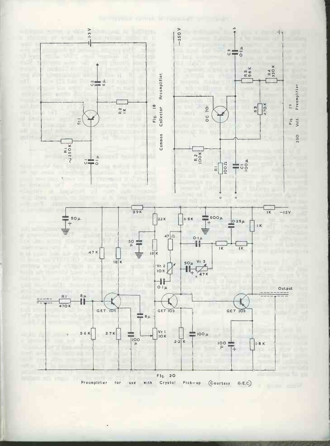



Preamplifier Crystal *(Courtesy*  $Pick-wp$ for  $G(E,C)$ use with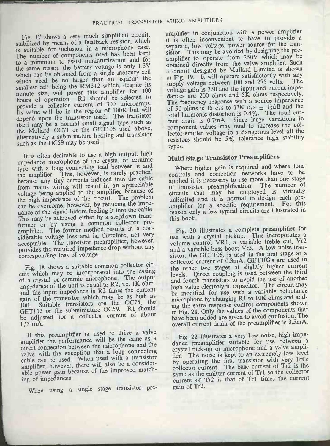Fig. 17 shows a very much simplified circuit, stabilized by means of a feedback resistor, which is suitable for inclusion in a microphone case. The number of components used has been kept to a minimum to assist miniaturization and for the same reason the battery voltage is only 1.3V which can be obtained from a single mercury cell which need be no larger than an aspirin; the smallest cell being the RM312 which, despite its minute size, will power this amplifier for <sup>100</sup> hours of operation. R1 should be selected to provide a collector current of 300 microamps. Its value will be in the region of 100K but will depend upon the transistor used. The transistor itself may be a normal small signal type such as the Mullard OC71 or the GET106 used above, alternatively a subminiature hearing aid transistor such as the OC59 may be used.

It is often desirable to use a high output, high impedance microphone of the crystal or ceramic type with a long connecting lead between it and the amplifier. This, however, is rarely practical because any tiny currents induced into the cable from mains wiring will result in an appreciable voltage being applied to the amplifier because of the high impedance of the circuit. The problem can be overcome, however, by reducing the impedance of the signal before feeding it into the cable. This may be achieved either by a stepdown transformer or by using a common collector preamplifier. The former method results in a considerable voltage loss and is, therefore, not very acceptable. The transistor preamplifier, however, provides the required impedance drop without any corresponding loss of voltage.

Fig. 18 shows a suitable common collector circuit which may be incorporated into the casing of a crystal or ceramic microphone. The output impedance of the unit is equal to R2, i.e. 1K ohm, and the input impedance is R2 times the current gain of the transistor which may be as high as 100. Suitable transistors are the OC75, the GET113 or the subminiature OC59. R1 should be adjusted for a collector current of about 1/3 mA.

If this preamplifier is used to drive a valve amplifier the performance will be the same as a direct connection between the microphone and the valve with the exception that a long connecting cable can be used. When used with a transistor amplifier, however, there will also be a considerable power gain because of the improved matching of impedances.

When using <sup>a</sup> single stage transistor pre-

amplifier in conjunction with a power amplifier it is often inconvenient to have to provide a separate, low voltage, power source for the transistor. This may be avoided by designing the preamplifier to operate from 250V which may be obtained directly from the valve amplifier. Such a circuit, designed by Mullard Limited is shown in Fig. 19. It will operate satisfactorily with any<br>the value of between 100 and 275 volts. The supply voltage between 100 and 275 volts. voltage gain is 330 and the input and output impedances are 200 ohms and 5K ohms respectively. The frequency response with a source impedance of 50 ohms is 15 c/s to 13K c/s  $\pm$  1<sup>1</sup>/<sub>2</sub>dB and the total harmonic distortion is 0.4%. The total current drain is 0.7mA. Since large variations in component values may tend to increase the collector -emitter voltage to a dangerous level all the resistors should be 5% tolerance high stability types.

#### Multi Stage Transistor Preamplifiers

Where higher gain is required and where tone controls and correction networks have to be applied it is necessary to use more than one stage of transistor preamplification. The number of circuits that may be employed is virtually unlimited and it is normal to design each preamplifier for a specific requirement. For this reason only a few typical circuits are illustrated in this book.

Fig. 20 illustrates a complete preamplifier for use with a crystal pickup. This incorporates a volume control VR1, a variable treble cut, Vr2 and a variable bass boost Vr3. A low noise transistor, the GET106, is used in the first stage at a collector current of 0.3mA, GET103's are used in the other two stages at slightly higher current levels. Direct coupling is used between the third and fourth transistors to avoid the use of another high value electrolytic capacitor. The circuit may be modified for use with a variable reluctance microphone by changing R1 to 10K ohms and adding the extra response control components shown in Fig. 21. Only the values of the components that have been added are given to avoid confusion. The overall current drain of the preamplifier is 3.5mA.

Fig. 22 illustrates a very low noise, high impedance preamplifier suitable for use between a crystal pick-up or microphone and a valve amplifier. The noise is kept to an extremely low level by operating the first transistor with very little collector current. The base current of Tr2 is the same as the emitter current of Tr1 so the collector current of Tr2 is that of Trl times the current gain of Tr2.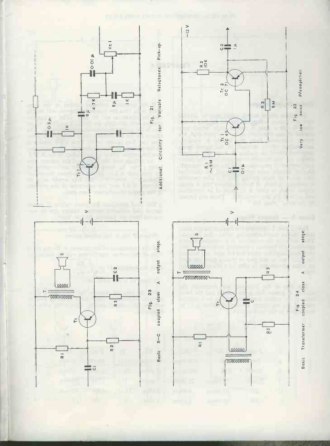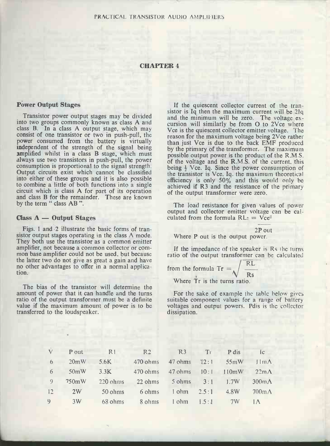#### CHAPTER 4

#### POwer Output Stages

into two groups commonly known as class A and class B. In a class A output stage, which may<br>consist of one transistor or two in push-pull, the reason for the maximum voltage heing 2Vce rather power consumed from the battery is virtually independent of the strength of the signal being amplified whilst in a class B stage, which must possible output power is the product of the R.M.S. always use two transistors in push-pull, the power consumption is proportional to the signal strength. Output circuits exist which cannot be classified into either of these groups and it is also possible to combine a little of both functions into a single circuit which is class A for part of its operation and class B for the remainder. These are known by the term " class AB".

#### $Class A - Output Stages$

Figs. 1 and 2 illustrate the basic forms of transistor output stages operating in the class A mode. They both use the transistor as a common emitter amplifier, not because a common collector or common base amplifier could not be used, but because the latter two do not give as great a gain and have no other advantages to offer in a normal application.

The bias of the transistor will determine the amount of power that it can handle and the turns ratio of the output transformer must be a definite suitable component values for a range of battery value if the maximum amount of power is to be voltages and output powers. Polis is the collector transferred to the loudspeaker.

Transistor power output stages may be divided and the minimum will be zero. The voltage ex-If the quiescent collector current of the tran-<br>sistor is Iq then the maximum current will be 21q cursion will similarly be from O to 2Vce where reason for the maximum voltage being 2Vce rather than just Vce is due to the back EMF produced by the primary of the transformer. The maximum of the voltage and the R.M.S. of the current, this being  $\frac{1}{2}$  Vce. Iq. Since the power consumption of the transistor is Vce. Iq. the maximum theoretical efficiency is only 50% and this would only he achieved if R3 and the resistance of the primary of the output transformer were zero.

The load resistance for given values of power output and collector emitter voltage can be calculated from the formula  $RL<sub>2</sub> = Vce<sup>2</sup>$ 

2P out Where **P** out is the output power.

If the impedance of the speaker is Rs the turns ratio of the output transformer can be calculated

from the formula  $Tr = \sqrt{\frac{RL}{L}}$ Rs Where Tr is the turns ratio.

For the sake of example the table below gives suitable component values for a range of battery dissipation.

| $\sqrt{}$       | P out | R1                 | R <sub>2</sub> | R3                          | Tr    | P dis | $\iota$         |
|-----------------|-------|--------------------|----------------|-----------------------------|-------|-------|-----------------|
| 6 <sup>1</sup>  | 20mW  | 5.6K               | 470 ohms       | 47 ohms                     | 12:1  | 55mW  | $11m\Delta$     |
| 6               | 50mW  | 3.3K               | 470 ohms       | 47 ohms                     | 10:1  | 110mW | $22m\Lambda$    |
| -9              | 750mW | $220 \text{ ohms}$ | 22 ohms        | $5 \text{ ohms} \qquad 3:1$ |       | 1.7W  | $300 \text{mA}$ |
| 12 <sup>2</sup> | 2W    | 50 ohms            | 6 ohms         | 1 ohm $2.5:1$               |       | 4.8W  | $700 \text{mA}$ |
| $\Omega$        | 3W    | $68 \text{ ohms}$  | 8 ohnis        | 1 ohm                       | 1.5:1 | 7W    |                 |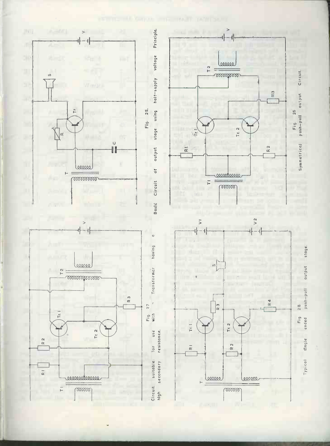

example off Carrier announced Tarriford's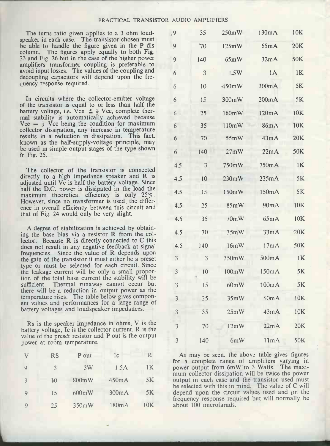The turns ratio given applies to a 3 ohm loudspeaker in each case. The transistor chosen must be able to handle the figure given in the P dis column. The figures apply equally to both Fig. 23 and Fig. 26 but in the case of the higher power amplifiers transformer coupling is preferable to avoid input losses. The values of the coupling and decoupling capacitors will depend upon the frequency response required.

In circuits where the collector -emitter voltage of the transistor is equal to or less than half the battery voltage, i.e. Vce  $\leq \frac{1}{2}$  Vcc, complete thermal stability is automatically achieved because  $Vce = \frac{1}{2}$  Vcc being the condition for maximum collector dissipation, any increase in temperature results in a reduction in dissipation. This fact, known as the half-supply-voltage principle, may be used in simple output stages of the type shown in Fig. 25.

The collector of the transistor is connected directly to a high impedance speaker and R is adjusted until Vc is half the battery voltage. Since half the D.C. power is dissipated in the load the maximum theoretical efficiency is only 25%. However, since no transformer is used, the difference in overall efficiency between this circuit and that of Fig. 24 would only be very slight.

A degree of stabilization is achieved by obtaining the base bias via a resistor R from the collector. Because R is directly connected to C this does not result in any negative feedback at signal frequencies. Since the value of R depends upon the gain of the transistor it must either be a preset type or must be selected for each circuit. Since the leakage current will be only a small proportion of the total base current the stability will be sufficient. Thermal runaway cannot occur but there will be a reduction in output power as the temperature rises. The table below gives component values and performances for a large range of battery voltages and loudspeaker impedances.

Rs is the speaker impedance in ohms, V is the battery voltage, Ic is the collector current, R is the value of the preset resistor and P out is the output power at room temperature.

| V            | <b>RS</b> | P out | Ic    | R   | As m<br>for<br>a   |
|--------------|-----------|-------|-------|-----|--------------------|
| 9            | 3         | 3W    | 1.5A  | 1Κ  | power<br>mum c     |
| 9            | 10        | 800mW | 450mA | 5K  | output<br>be selec |
| 9            | 15        | 600mW | 300mA | 5K  | depend<br>frequen  |
| $\mathbf{Q}$ | 25        | 350mW | 180mA | 10K | about 1            |

| 9                       | 35             | 250mW | 130mA | 10K             |  |
|-------------------------|----------------|-------|-------|-----------------|--|
| $\overline{9}$          | $70^{\circ}$   | 125mW | 65mA  | 20K             |  |
| 9                       | 140            | 65mW  | 32mA  | 50K             |  |
| 6                       | 3              | 1.5W  | 1A    | 1K              |  |
| 6                       | $10\,$         | 450mW | 300mA | $5K$            |  |
| $\boldsymbol{6}$        | 15             | 300mW | 200mA | $5\mathrm{K}$   |  |
| 6                       | 25             | 160mW | 120mA | 10K             |  |
| $\sqrt{6}$              | 35             | 110mW | 86mA  | 10K             |  |
| $\boldsymbol{6}$        | 70             | 55mW  | 43mA  | 20K             |  |
| 6                       | 140            | 27mW  | 22mA  | <b>50K</b>      |  |
| 4.5                     | $\overline{3}$ | 750mW | 750mA | 1 <sub>K</sub>  |  |
| 4.5                     | 10             | 230mW | 225mA | $5K$            |  |
| 4.5                     | 15             | 150mW | 150mA | 5K              |  |
| 4.5                     | 25             | 85mW  | 90mA  | 10K             |  |
| 4.5                     | 35             | 70mW  | 65mA  | 10K             |  |
| 4.5                     | 70             | 35mW  | 33mA  | 20K             |  |
| 4.5                     | 140            | 16mW  | 17mA  | <b>50K</b>      |  |
| 3                       | 3              | 350mW | 500mA | $1\,\mathrm{K}$ |  |
| $\overline{3}$          | 10             | 100mW | 150mA | 5K              |  |
| 3                       | 15             | 60mW  | 100mA | 5K              |  |
| 3                       | 25             | 35mW  | 60mA  | 10K             |  |
| $\overline{\mathbf{3}}$ | 35             | 25mW  | 43mA  | 10K             |  |
| $\sqrt{3}$              | $70\,$         | 12mW  | 22mA  | $20K$           |  |
| 3                       | 140            | 6mW   | 11mA  | 50K             |  |

As may be seen, the above table gives figures for a complete range of amplifiers varying in power output from 6mW to 3 Watts. The maximum collector dissipation will be twice the power output in each case and the transistor used must be selected with this in mind. The value of C will depend upon the circuit values used and pn the frequency response required but will normally be about 100 microfarads.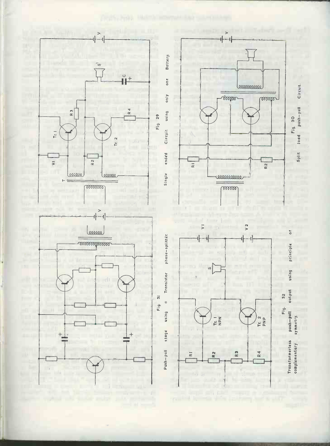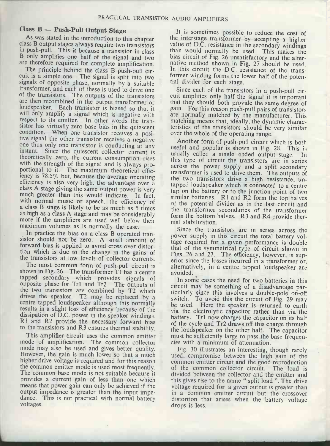#### $Class B - Push$ -Pull Output Stage

class B output stages always require two transistors in push-pull. This is because a transistor in class

are therefore required for complete amplification.<br>The principle behind the class B push-pull circuit is a simple one. The signal is split into two signals of opposite phase, normally by a suitable tial divider for each stage.<br>
transformer, and each of these is used to drive one Since each of the transistors in a push-pull cirof the transistors. The outputs of the transistors and each of the transistors are then recombined in the output transformer or that they should both provide the same degree of loudspeaker. Each transistor is biased so that it gain. For this reason push-pull pairs of transistors will only amplify a signal which is negative with are normally matched by the manufacturer. This will only amplify a signal which is negative with respect to its emitter. In other words the tran-<br>sistor has virtually zero base bias in the quiescent condition. When one transistor receives a posi- over the whole of the operating range. tive signal the other transistor receives a negative<br>one thus only one transistor is conducting at any useful and popular is shown in Fig. 28. This is instant. Since the quiescent collector current is theoretically zero, the current consumption rises theoretically zero, the current consumption rises in this type of circuit the transistors are in series with the strength of the signal and is always pro-<br>portional to it. The maximum theoretical effic-<br>transformer is used iency is 78.5% but, because the average operating efficiency is also very high. the advantage over a class A stage giving the same output power is very much greater than this would indicate. In fact, with normal music or speech, the efficiency of of the potential divider as in the last circuit and a class B stage is likely to be as much as 5 times as high as a class A stage and may be considerably more if the amplifiers are used well below their mal stabilization.<br>maximum volumes as is normally the case. Since the tran<br>In practice the bias on a class B operated tran-<br>power supply in

sistor should not be zero. A small amount of forward bias is applied to avoid cross over distorthe transistors at low levels of collector currents.

shown in Fig. 26. The transformer T1 has a centre tapped secondary which provides signals of opposite phase for Tr1 and Tr2. The outputs of the two transistors are combined by T2 which drives the speaker. T2 may be replaced by a centre tapped loudspeaker although this normally results in a slight loss of efficiency because of the dissipation of D.C. power in the speaker windings. dissipation of D.C. power in the speaker windings. battery. Tr1 now charges the capacitor on its half<br>R1 and R2 provide the necessary forward bias of the cycle and Tr2 draws off this charge through to the transistors and R3 ensures thermal stability.

This amplifier circuit uses the common emitter must be sufficiently large to pass the base frequen-<br>mode of amplification. The common collector cies with a minimum of attenuation.<br>mode may also be used and gives better qua mode may also be used and gives better quality. Fig. 30 illustrates an interesting, though rarely However, the gain is much lower so that a much used, compromise between the high gain of the higher drive voltage is required and for this reason the common emitter mode is used most frequently. the common emitter mode is used most frequently. So the common collector circuit. The load is<br>The common base mode is not suitable because it divided between the collector and the emitter and provides a current gain of less than one which means that power gain can only be achieved if the output impedance is greater than the input impedance. This is not practical with normal battery voltages.

As was stated in the introduction to this chapter the interstage transformer by accepting a higher B only amplifies one half of the signal and two<br>are therefore required for complete amplification. In native method shown in Fig. 27 should be used. It is sometimes possible to reduce the cost of value of D.C. resistance in the secondary windings than would normally be used. This makes the bias circuit of Fig. 26 unsatisfactory and the alter-In this circuit the D.C. resistance of the transformer winding forms the lower half of the potential divider for each stage.

> cuit amplifies only half the signal it is important gain. For this reason push-pull pairs of transistors matching means that, ideally, the dynamic characteristics of the transistors should be very similar

> useful and popular is shown in Fig. 28. This is usually called a single ended output stage. In across the power supply and a split secondary transformer is used to drive them. The outputs of the two transistors drive a high resistance, untapped loudspeaker which is connected to a centre tap on the battery or to the junction point of two similar batteries. R1 and R2 form the top halves the transformer secondaries of the transformer form the bottom halves. R3 and R4 provide ther-

tot ward blas is applied to avoid cross over distor-<br>that of the symmetrical type of circuit shown in<br>tion which is due to the change in the gains of Figs. 26 and 27. The efficiency however is supe transistors at low levels of collector currents.<br>The most common form of push-pull circuit is alternatively in a centre tanned loudspeaker are Since the transistors are in series across the power supply in this circuit the total battery voltage required for a given performance is double Figs. 26 and 27. The efficiency, however, is supalternatively, in a centre tapped loudspeaker are avoided.

> In some cases the need for two batteries in this circuit may be something of a disadvantage particularly since this involves a double -pole on -off switch. To avoid this the circuit of Fig. 29 may be used. Here the speaker is returned to earth via the electrolytic capacitor rather than via the of the cycle and Tr2 draws off this charge through the loudspeaker on the other half. The capacitor

> used, compromise between the high gain of the common emitter circuit and the good reproduction divided between the collector and the emitter and this gives rise to the name " split load ". The drive voltage required for a given output is greater than in a common emitter circuit but the crossover distortion that arises when the battery voltage drops is less.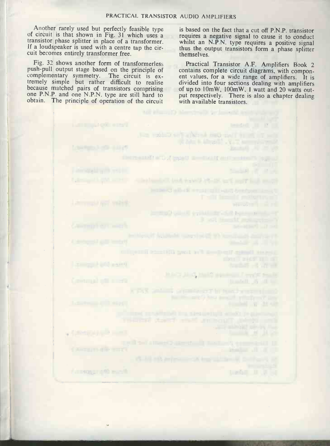**March 19 March 19 Service** 

**LE MEJ MT (ATM MO DAT TIME TIME** 

The limit of this system with the first state of **NEW ORDER RESIDENCE STORES** 

England on the Consultant of

**HATALO AND ARREST TO FAIL** 

THE HIT LI WILL BE THE THE LIBRARY

CHECK PERIOD WITH A DELIVERED

a part of the problem of her transferred and

Another rarely used but perfectly feasible type is based on the fact that a cut off P.N.P. transistor of circuit is that shown in Fig. 31 which uses a requires a negative signal to cause it to conduct transistor phase splitter in place of a transformer. If a loudspeaker is used with a centre tap the cir-<br>cuit becomes entirely transformer free.<br>themselves

Fig. 32 shows another form of transformerless<br>push-pull output stage based on the principle of contains complete circuit diagrams, with componcomplementary symmetry. The circuit is extremely simple but rather difficult to realise<br>because matched pairs of transistors comprising of up to  $10 \text{mW}$ ,  $100 \text{mW}$ ,  $1$  watt and 20 watts outone P.N.P. and one N.P.N. type are still hard to obtain. The principle of operation of the circuit

**Allen Barbara (1989)** 

 $\frac{1}{2} \left( \frac{1}{2} \right) \left( \frac{1}{2} \right) \left( \frac{1}{2} \right) \left( \frac{1}{2} \right) \left( \frac{1}{2} \right) \left( \frac{1}{2} \right) \left( \frac{1}{2} \right) \left( \frac{1}{2} \right) \left( \frac{1}{2} \right) \left( \frac{1}{2} \right) \left( \frac{1}{2} \right) \left( \frac{1}{2} \right) \left( \frac{1}{2} \right) \left( \frac{1}{2} \right) \left( \frac{1}{2} \right) \left( \frac{1}{2} \right) \left( \frac$ 

**ANTIQUE ANTIQUE** 

is based on the fact that a cut off P.N.P. transistor whilst an N.P.N. type requires a positive signal themselves.

Practical Transistor A.F. Amplifiers Book 2 ent values, for a wide range of amplifiers. It is divided into four sections dealing with amplifiers put respectively. There is also a chapter dealing with available transistors.

 $\mathbf{L} = \mathbf{L} + \mathbf{L} + \mathbf{L} + \mathbf{L} + \mathbf{L} + \mathbf{L} + \mathbf{L} + \mathbf{L} + \mathbf{L} + \mathbf{L} + \mathbf{L} + \mathbf{L} + \mathbf{L} + \mathbf{L} + \mathbf{L} + \mathbf{L} + \mathbf{L} + \mathbf{L} + \mathbf{L} + \mathbf{L} + \mathbf{L} + \mathbf{L} + \mathbf{L} + \mathbf{L} + \mathbf{L} + \mathbf{L} + \mathbf{L} + \mathbf{L} + \mathbf{L} + \mathbf{L} + \mathbf$ 

**Final Ave., 2014.00**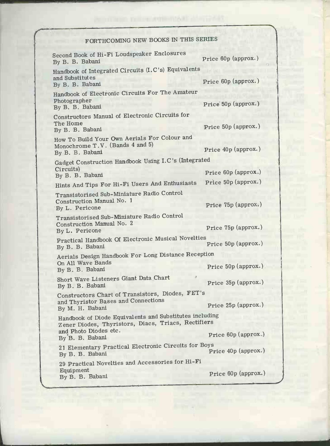## FORTHCOMING NEW BOOKS IN THIS SERIES

| Second Book of Hi-Fi Loudspeaker Enclosures<br>By B. B. Babani                                                                          | Price 60p (approx.)  |
|-----------------------------------------------------------------------------------------------------------------------------------------|----------------------|
| Handbook of Integrated Circuits (I.C's) Equivalents<br>and Substitutes<br>By B. B. Babani                                               | Price 60p (approx.)  |
| Handbook of Electronic Circuits For The Amateur<br>Photographer<br>By B. B. Babani                                                      | Price 50p (approx.)  |
| Constructors Manual of Electronic Circuits for<br>The Home<br>By B. B. Babani                                                           | Price 50p (approx.)  |
| How To Build Your Own Aerials For Colour and<br>Monochrome T.V. (Bands 4 and 5)<br>By B. B. Babani                                      | Price 40p (approx.)  |
| Gadget Construction Handbook Using I.C's (Integrated<br>Circuits)                                                                       |                      |
| By B. B. Babani                                                                                                                         | Price 60p (approx)   |
| Hints And Tips For Hi-Fi Users And Enthusiasts                                                                                          | Price 50p (approx.)  |
| Transistorised Sub-Miniature Radio Control<br>Construction Manual No. 1<br>By L. Pericone                                               | Price 75p (approx.)  |
| Transistorised Sub-Miniature Radio Control<br>Construction Manual No. 2<br>By L. Pericone                                               | Price 75p (approx.)  |
| Practical Handbook Of Electronic Musical Novelties<br>By B. B. Babani                                                                   | Price 50p (approx.)  |
| Aerials Design Handbook For Long Distance Reception<br>On All Wave Bands<br>By B. B. Babani                                             | Price 50p (approx.)  |
| Short Wave Listeners Giant Data Chart<br>By B. B. Babani                                                                                | Price 35p (approx.)  |
| Constructors Chart of Transistors, Diodes, FET's<br>and Thyristor Bases and Connections<br>By M. H. Babani                              | Price 25p (approx.)  |
| Handbook of Diode Equivalents and Substitutes including<br>Zener Diodes, Thyristors, Diacs, Triacs, Rectifiers<br>and Photo Diodes etc. |                      |
| By B. B. Babani                                                                                                                         | Price $60p$ (approx) |
| 21 Elementary Practical Electronic Circuits for Boys<br>By B. B. Babani                                                                 | Price 40p (approx.)  |
| 29 Practical Novelties and Accessories for Hi-Fi<br>Equipment                                                                           |                      |
| By B. B. Babani                                                                                                                         | Price 60p (approx.)  |

**All Property** 

 $\mathbf{L}$ 

I

m.